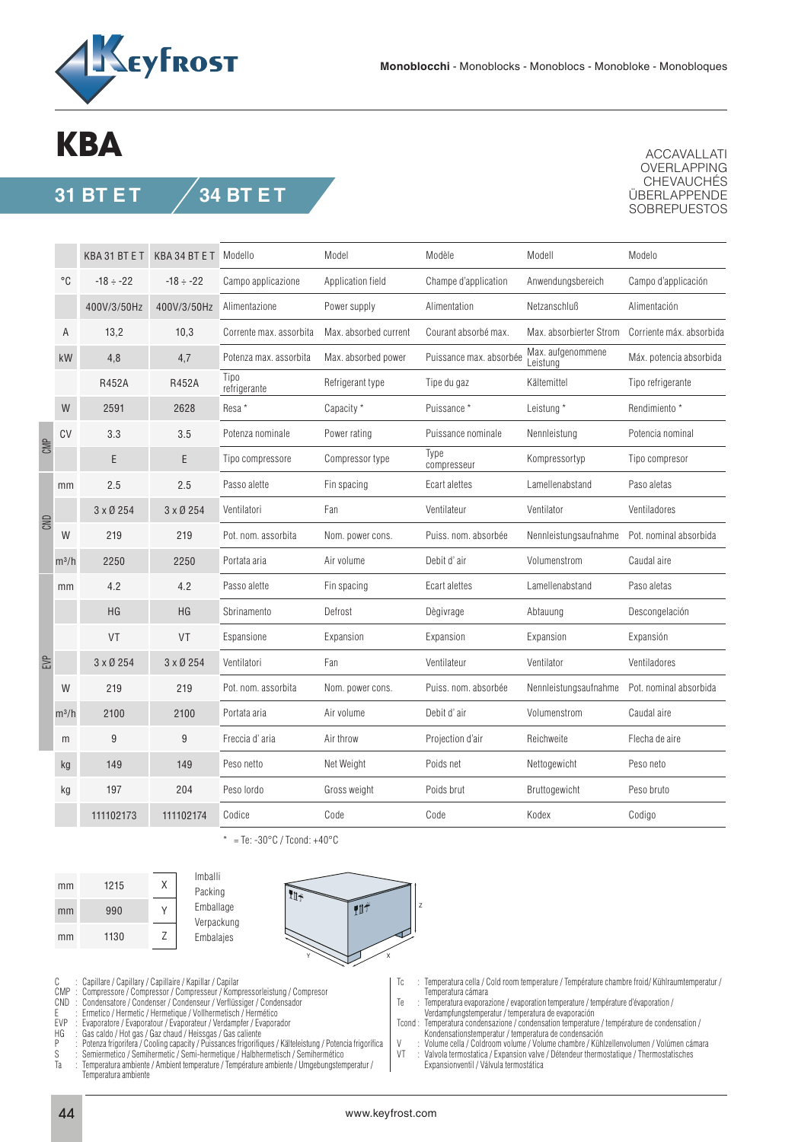

## **KBA**

## **31 BT E T 34 BT E T**

ACCAVALLATI OVERLAPPING CHEVAUCHÉS ÜBERLAPPENDE **SOBREPUESTOS** 

|     |         | KBA 31 BT E T   | KBA 34 BT E T Modello |                         | Model                 | Modèle                  | Modell                        | Modelo                   |
|-----|---------|-----------------|-----------------------|-------------------------|-----------------------|-------------------------|-------------------------------|--------------------------|
|     | °C      | $-18 \div -22$  | $-18 \div -22$        | Campo applicazione      | Application field     | Champe d'application    | Anwendungsbereich             | Campo d'applicación      |
|     |         | 400V/3/50Hz     | 400V/3/50Hz           | Alimentazione           | Power supply          | Alimentation            | Netzanschluß                  | Alimentación             |
|     | A       | 13,2            | 10,3                  | Corrente max. assorbita | Max. absorbed current | Courant absorbé max.    | Max. absorbierter Strom       | Corriente máx, absorbida |
| CMP | kW      | 4,8             | 4,7                   | Potenza max. assorbita  | Max. absorbed power   | Puissance max. absorbée | Max. aufgenommene<br>Leistung | Máx. potencia absorbida  |
|     |         | R452A           | R452A                 | Tipo<br>refrigerante    | Refrigerant type      | Tipe du gaz             | Kältemittel                   | Tipo refrigerante        |
|     | W       | 2591            | 2628                  | Resa <sup>*</sup>       | Capacity *            | Puissance *             | Leistung *                    | Rendimiento *            |
|     | CV      | 3.3             | 3.5                   | Potenza nominale        | Power rating          | Puissance nominale      | Nennleistung                  | Potencia nominal         |
|     |         | E               | E                     | Tipo compressore        | Compressor type       | Type<br>compresseur     | Kompressortyp                 | Tipo compresor           |
| CND | mm      | 2.5             | 2.5                   | Passo alette            | Fin spacing           | Ecart alettes           | Lamellenabstand               | Paso aletas              |
|     |         | $3 \times 0254$ | 3 x Ø 254             | Ventilatori             | Fan                   | Ventilateur             | Ventilator                    | Ventiladores             |
|     | W       | 219             | 219                   | Pot. nom. assorbita     | Nom. power cons.      | Puiss, nom. absorbée    | Nennleistungsaufnahme         | Pot. nominal absorbida   |
|     | $m^3/h$ | 2250            | 2250                  | Portata aria            | Air volume            | Debit d'air             | Volumenstrom                  | Caudal aire              |
|     | mm      | 4.2             | 4.2                   | Passo alette            | Fin spacing           | Ecart alettes           | Lamellenabstand               | Paso aletas              |
|     |         | HG              | HG                    | Sbrinamento             | Defrost               | Dègivrage               | Abtauung                      | Descongelación           |
| EVP |         | VT              | VT                    | Espansione              | Expansion             | Expansion               | Expansion                     | Expansión                |
|     |         | $3 \times 0254$ | 3 x Ø 254             | Ventilatori             | Fan                   | Ventilateur             | Ventilator                    | Ventiladores             |
|     | W       | 219             | 219                   | Pot. nom. assorbita     | Nom. power cons.      | Puiss, nom. absorbée    | Nennleistungsaufnahme         | Pot. nominal absorbida   |
|     | $m^3/h$ | 2100            | 2100                  | Portata aria            | Air volume            | Debit d'air             | Volumenstrom                  | Caudal aire              |
|     | m       | 9               | 9                     | Freccia d'aria          | Air throw             | Projection d'air        | Reichweite                    | Flecha de aire           |
|     | kg      | 149             | 149                   | Peso netto              | Net Weight            | Poids net               | Nettogewicht                  | Peso neto                |
|     | kg      | 197             | 204                   | Peso lordo              | Gross weight          | Poids brut              | Bruttogewicht                 | Peso bruto               |
|     |         | 111102173       | 111102174             | Codice                  | Code                  | Code                    | Kodex                         | Codigo                   |

\* = Te: -30 $^{\circ}$ C / Tcond: +40 $^{\circ}$ C







C Capillare / Capillary / Capillaire / Kapillar / Capilar<br>CMP Compressore / Compressor / Compresseur / Kompressorleistung / Compresor<br>CND Condensatore / Condenser / Condenseur / Verflüssiger /

- 
- CND : Condensatore / Condenser / Condenseur / Verflüssiger / Condensador<br>
E : Ermetico / Hermetic / Hermetique / Vollhermetisch / Hermético<br>
EVP : Evaporatore / Evaporatour / Evaporateur / Verdampfer / Evaporador

EVP : Evaporatore / Evaporatour / Evaporateur / Verdampfer / Evaporador

- 
- HG : Gas caldo / Hot gas / Gaz chaud / Heissgas / Gas caliente<br>P Potenza frigorifera / Cooling capacity / Puissances frigorifiques / Kälteleistung / Potencia frigorífica<br>S

Ta : Temperatura ambiente / Ambient temperature / Température ambiente / Umgebungstemperatur /

- Temperatura ambiente
- Tc : Temperatura cella / Cold room temperature / Température chambre froid/ Kühlraumtemperatur / Temperatura cámara<br>Te : Temperatura evapora
- Te : Temperatura evaporazione / evaporation temperature / température d'évaporation / Verdampfungstemperatur / temperatura de evaporación
- Tcond : Temperatura condensazione / condensation temperature / température de condensation /

 Kondensationstemperatur / temperatura de condensación V : Volume cella / Coldroom volume / Volume chambre / Kühlzellenvolumen / Volúmen cámara VT : Valvola termostatica / Expansion valve / Détendeur thermostatique / Thermostatisches Expansionventil / Válvula termostática